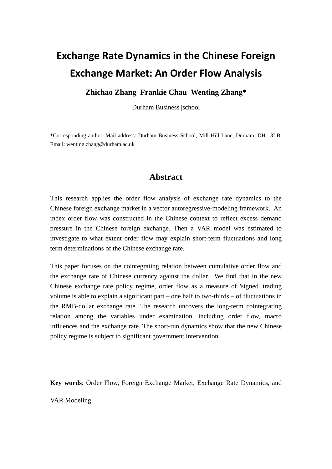# **Exchange Rate Dynamics in the Chinese Foreign Exchange Market: An Order Flow Analysis**

#### **Zhichao Zhang Frankie Chau Wenting Zhang\***

Durham Business |school

<span id="page-0-0"></span>\*Corresponding author. Mail address: Durham Business School, Mill Hill Lane, Durham, DH1 3LB, Email: wenting.zhang@durham.ac.uk

## **Abstract**

This research applies the order flow analysis of exchange rate dynamics to the Chinese foreign exchange market in a vector autoregressive-modeling framework. An index order flow was constructed in the Chinese context to reflect excess demand pressure in the Chinese foreign exchange. Then a VAR model was estimated to investigate to what extent order flow may explain short-term fluctuations and long term determinations of the Chinese exchange rate.

This paper focuses on the cointegrating relation between cumulative order flow and the exchange rate of Chinese currency against the dollar. We find that in the new Chinese exchange rate policy regime, order flow as a measure of 'signed' trading volume is able to explain a significant part – one half to two-thirds – of fluctuations in the RMB-dollar exchange rate. The research uncovers the long-term cointegrating relation among the variables under examination, including order flow, macro influences and the exchange rate. The short-run dynamics show that the new Chinese policy regime is subject to significant government intervention.

**Key words**: Order Flow, Foreign Exchange Market, Exchange Rate Dynamics, and

VAR Modeling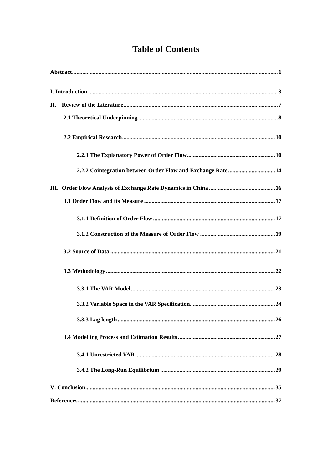## **Table of Contents**

| II.                                                         |
|-------------------------------------------------------------|
|                                                             |
|                                                             |
|                                                             |
| 2.2.2 Cointegration between Order Flow and Exchange Rate 14 |
|                                                             |
|                                                             |
|                                                             |
|                                                             |
|                                                             |
|                                                             |
|                                                             |
|                                                             |
|                                                             |
|                                                             |
|                                                             |
|                                                             |
|                                                             |
|                                                             |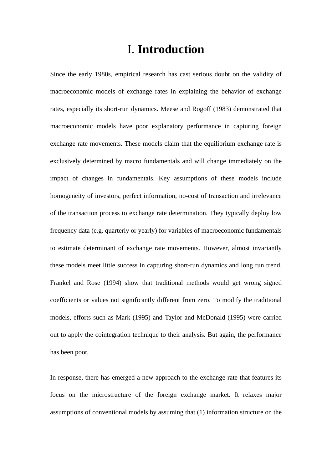# I. **Introduction**

<span id="page-2-0"></span>Since the early 1980s, empirical research has cast serious doubt on the validity of macroeconomic models of exchange rates in explaining the behavior of exchange rates, especially its short-run dynamics. Meese and Rogoff (1983) demonstrated that macroeconomic models have poor explanatory performance in capturing foreign exchange rate movements. These models claim that the equilibrium exchange rate is exclusively determined by macro fundamentals and will change immediately on the impact of changes in fundamentals. Key assumptions of these models include homogeneity of investors, perfect information, no-cost of transaction and irrelevance of the transaction process to exchange rate determination. They typically deploy low frequency data (e.g. quarterly or yearly) for variables of macroeconomic fundamentals to estimate determinant of exchange rate movements. However, almost invariantly these models meet little success in capturing short-run dynamics and long run trend. Frankel and Rose (1994) show that traditional methods would get wrong signed coefficients or values not significantly different from zero. To modify the traditional models, efforts such as Mark (1995) and Taylor and McDonald (1995) were carried out to apply the cointegration technique to their analysis. But again, the performance has been poor.

In response, there has emerged a new approach to the exchange rate that features its focus on the microstructure of the foreign exchange market. It relaxes major assumptions of conventional models by assuming that (1) information structure on the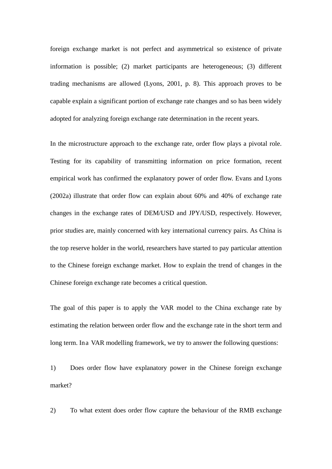foreign exchange market is not perfect and asymmetrical so existence of private information is possible; (2) market participants are heterogeneous; (3) different trading mechanisms are allowed (Lyons, 2001, p. 8). This approach proves to be capable explain a significant portion of exchange rate changes and so has been widely adopted for analyzing foreign exchange rate determination in the recent years.

In the microstructure approach to the exchange rate, order flow plays a pivotal role. Testing for its capability of transmitting information on price formation, recent empirical work has confirmed the explanatory power of order flow. Evans and Lyons (2002a) illustrate that order flow can explain about 60% and 40% of exchange rate changes in the exchange rates of DEM/USD and JPY/USD, respectively. However, prior studies are, mainly concerned with key international currency pairs. As China is the top reserve holder in the world, researchers have started to pay particular attention to the Chinese foreign exchange market. How to explain the trend of changes in the Chinese foreign exchange rate becomes a critical question.

The goal of this paper is to apply the VAR model to the China exchange rate by estimating the relation between order flow and the exchange rate in the short term and long term. In a VAR modelling framework, we try to answer the following questions:

1) Does order flow have explanatory power in the Chinese foreign exchange market?

2) To what extent does order flow capture the behaviour of the RMB exchange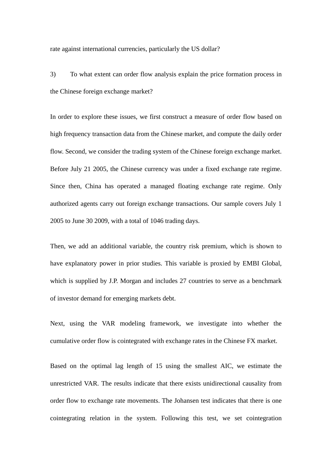rate against international currencies, particularly the US dollar?

3) To what extent can order flow analysis explain the price formation process in the Chinese foreign exchange market?

In order to explore these issues, we first construct a measure of order flow based on high frequency transaction data from the Chinese market, and compute the daily order flow. Second, we consider the trading system of the Chinese foreign exchange market. Before July 21 2005, the Chinese currency was under a fixed exchange rate regime. Since then, China has operated a managed floating exchange rate regime. Only authorized agents carry out foreign exchange transactions. Our sample covers July 1 2005 to June 30 2009, with a total of 1046 trading days.

Then, we add an additional variable, the country risk premium, which is shown to have explanatory power in prior studies. This variable is proxied by EMBI Global, which is supplied by J.P. Morgan and includes 27 countries to serve as a benchmark of investor demand for emerging markets debt.

Next, using the VAR modeling framework, we investigate into whether the cumulative order flow is cointegrated with exchange rates in the Chinese FX market.

Based on the optimal lag length of 15 using the smallest AIC, we estimate the unrestricted VAR. The results indicate that there exists unidirectional causality from order flow to exchange rate movements. The Johansen test indicates that there is one cointegrating relation in the system. Following this test, we set cointegration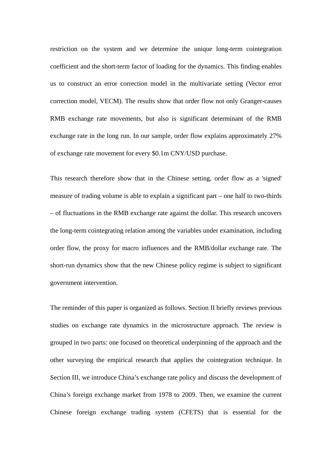restriction on the system and we determine the unique long-term cointegration coefficient and the short-term factor of loading for the dynamics. This finding enables us to construct an error correction model in the multivariate setting (Vector error correction model, VECM). The results show that order flow not only Granger-causes RMB exchange rate movements, but also is significant determinant of the RMB exchange rate in the long run. In our sample, order flow explains approximately 27% of exchange rate movement for every \$0.1m CNY/USD purchase.

This research therefore show that in the Chinese setting, order flow as a 'signed' measure of trading volume is able to explain a significant part – one half to two-thirds – of fluctuations in the RMB exchange rate against the dollar. This research uncovers the long-term cointegrating relation among the variables under examination, including order flow, the proxy for macro influences and the RMB/dollar exchange rate. The short-run dynamics show that the new Chinese policy regime is subject to significant government intervention.

The reminder of this paper is organized as follows. Section II briefly reviews previous studies on exchange rate dynamics in the microstructure approach. The review is grouped in two parts: one focused on theoretical underpinning of the approach and the other surveying the empirical research that applies the cointegration technique. In Section III, we introduce China's exchange rate policy and discuss the development of China's foreign exchange market from 1978 to 2009. Then, we examine the current Chinese foreign exchange trading system (CFETS) that is essential for the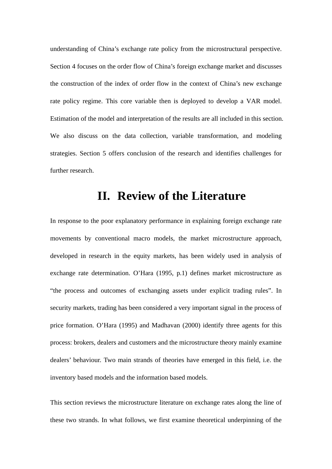understanding of China's exchange rate policy from the microstructural perspective. Section 4 focuses on the order flow of China's foreign exchange market and discusses the construction of the index of order flow in the context of China's new exchange rate policy regime. This core variable then is deployed to develop a VAR model. Estimation of the model and interpretation of the results are all included in this section. We also discuss on the data collection, variable transformation, and modeling strategies. Section 5 offers conclusion of the research and identifies challenges for further research.

# **II. Review of the Literature**

<span id="page-6-0"></span>In response to the poor explanatory performance in explaining foreign exchange rate movements by conventional macro models, the market microstructure approach, developed in research in the equity markets, has been widely used in analysis of exchange rate determination. O'Hara (1995, p.1) defines market microstructure as "the process and outcomes of exchanging assets under explicit trading rules". In security markets, trading has been considered a very important signal in the process of price formation. O'Hara (1995) and Madhavan (2000) identify three agents for this process: brokers, dealers and customers and the microstructure theory mainly examine dealers' behaviour. Two main strands of theories have emerged in this field, i.e. the inventory based models and the information based models.

This section reviews the microstructure literature on exchange rates along the line of these two strands. In what follows, we first examine theoretical underpinning of the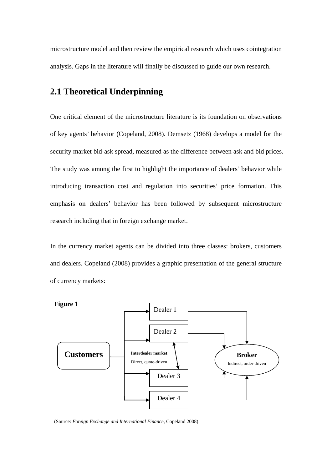microstructure model and then review the empirical research which uses cointegration analysis. Gaps in the literature will finally be discussed to guide our own research.

## <span id="page-7-0"></span>**2.1 Theoretical Underpinning**

One critical element of the microstructure literature is its foundation on observations of key agents' behavior (Copeland, 2008). Demsetz (1968) develops a model for the security market bid-ask spread, measured as the difference between ask and bid prices. The study was among the first to highlight the importance of dealers' behavior while introducing transaction cost and regulation into securities' price formation. This emphasis on dealers' behavior has been followed by subsequent microstructure research including that in foreign exchange market.

In the currency market agents can be divided into three classes: brokers, customers and dealers. Copeland (2008) provides a graphic presentation of the general structure of currency markets:



(Source: *Foreign Exchange and International Finance*, Copeland 2008).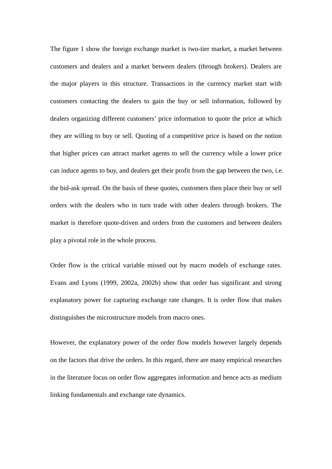The figure 1 show the foreign exchange market is two-tier market, a market between customers and dealers and a market between dealers (through brokers). Dealers are the major players in this structure. Transactions in the currency market start with customers contacting the dealers to gain the buy or sell information, followed by dealers organizing different customers' price information to quote the price at which they are willing to buy or sell. Quoting of a competitive price is based on the notion that higher prices can attract market agents to sell the currency while a lower price can induce agents to buy, and dealers get their profit from the gap between the two, i.e. the bid-ask spread. On the basis of these quotes, customers then place their buy or sell orders with the dealers who in turn trade with other dealers through brokers. The market is therefore quote-driven and orders from the customers and between dealers play a pivotal role in the whole process.

Order flow is the critical variable missed out by macro models of exchange rates. Evans and Lyons (1999, 2002a, 2002b) show that order has significant and strong explanatory power for capturing exchange rate changes. It is order flow that makes distinguishes the microstructure models from macro ones.

However, the explanatory power of the order flow models however largely depends on the factors that drive the orders. In this regard, there are many empirical researches in the literature focus on order flow aggregates information and hence acts as medium linking fundamentals and exchange rate dynamics.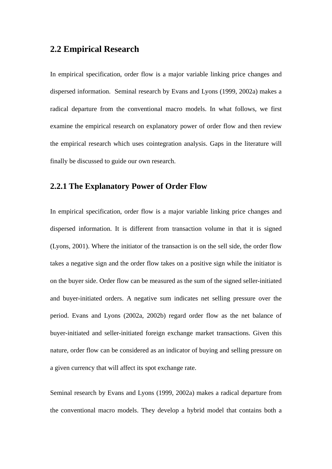## <span id="page-9-0"></span>**2.2 Empirical Research**

In empirical specification, order flow is a major variable linking price changes and dispersed information. Seminal research by Evans and Lyons (1999, 2002a) makes a radical departure from the conventional macro models. In what follows, we first examine the empirical research on explanatory power of order flow and then review the empirical research which uses cointegration analysis. Gaps in the literature will finally be discussed to guide our own research.

## <span id="page-9-1"></span>**2.2.1 The Explanatory Power of Order Flow**

In empirical specification, order flow is a major variable linking price changes and dispersed information. It is different from transaction volume in that it is signed (Lyons, 2001). Where the initiator of the transaction is on the sell side, the order flow takes a negative sign and the order flow takes on a positive sign while the initiator is on the buyer side. Order flow can be measured as the sum of the signed seller-initiated and buyer-initiated orders. A negative sum indicates net selling pressure over the period. Evans and Lyons (2002a, 2002b) regard order flow as the net balance of buyer-initiated and seller-initiated foreign exchange market transactions. Given this nature, order flow can be considered as an indicator of buying and selling pressure on a given currency that will affect its spot exchange rate.

Seminal research by Evans and Lyons (1999, 2002a) makes a radical departure from the conventional macro models. They develop a hybrid model that contains both a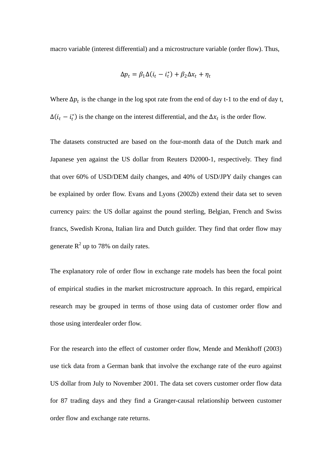macro variable (interest differential) and a microstructure variable (order flow). Thus,

$$
\Delta p_t = \beta_1 \Delta (i_t - i_t^*) + \beta_2 \Delta x_t + \eta_t
$$

Where  $\Delta p_t$  is the change in the log spot rate from the end of day t-1 to the end of day t,  $\Delta(i_t - i_t^*)$  is the change on the interest differential, and the  $\Delta x_t$  is the order flow.

The datasets constructed are based on the four-month data of the Dutch mark and Japanese yen against the US dollar from Reuters D2000-1, respectively. They find that over 60% of USD/DEM daily changes, and 40% of USD/JPY daily changes can be explained by order flow. Evans and Lyons (2002b) extend their data set to seven currency pairs: the US dollar against the pound sterling, Belgian, French and Swiss francs, Swedish Krona, Italian lira and Dutch guilder. They find that order flow may generate  $R^2$  up to 78% on daily rates.

The explanatory role of order flow in exchange rate models has been the focal point of empirical studies in the market microstructure approach. In this regard, empirical research may be grouped in terms of those using data of customer order flow and those using interdealer order flow.

For the research into the effect of customer order flow, Mende and Menkhoff (2003) use tick data from a German bank that involve the exchange rate of the euro against US dollar from July to November 2001. The data set covers customer order flow data for 87 trading days and they find a Granger-causal relationship between customer order flow and exchange rate returns.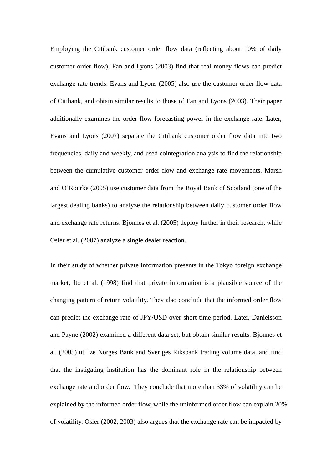Employing the Citibank customer order flow data (reflecting about 10% of daily customer order flow), Fan and Lyons (2003) find that real money flows can predict exchange rate trends. Evans and Lyons (2005) also use the customer order flow data of Citibank, and obtain similar results to those of Fan and Lyons (2003). Their paper additionally examines the order flow forecasting power in the exchange rate. Later, Evans and Lyons (2007) separate the Citibank customer order flow data into two frequencies, daily and weekly, and used cointegration analysis to find the relationship between the cumulative customer order flow and exchange rate movements. Marsh and O'Rourke (2005) use customer data from the Royal Bank of Scotland (one of the largest dealing banks) to analyze the relationship between daily customer order flow and exchange rate returns. Bjonnes et al. (2005) deploy further in their research, while Osler et al. (2007) analyze a single dealer reaction.

In their study of whether private information presents in the Tokyo foreign exchange market, Ito et al. (1998) find that private information is a plausible source of the changing pattern of return volatility. They also conclude that the informed order flow can predict the exchange rate of JPY/USD over short time period. Later, Danielsson and Payne (2002) examined a different data set, but obtain similar results. Bjonnes et al. (2005) utilize Norges Bank and Sveriges Riksbank trading volume data, and find that the instigating institution has the dominant role in the relationship between exchange rate and order flow. They conclude that more than 33% of volatility can be explained by the informed order flow, while the uninformed order flow can explain 20% of volatility. Osler (2002, 2003) also argues that the exchange rate can be impacted by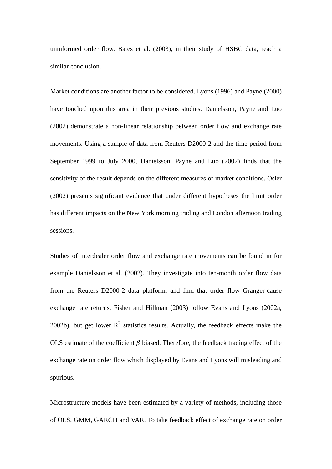uninformed order flow. Bates et al. (2003), in their study of HSBC data, reach a similar conclusion.

Market conditions are another factor to be considered. Lyons (1996) and Payne (2000) have touched upon this area in their previous studies. Danielsson, Payne and Luo (2002) demonstrate a non-linear relationship between order flow and exchange rate movements. Using a sample of data from Reuters D2000-2 and the time period from September 1999 to July 2000, Danielsson, Payne and Luo (2002) finds that the sensitivity of the result depends on the different measures of market conditions. Osler (2002) presents significant evidence that under different hypotheses the limit order has different impacts on the New York morning trading and London afternoon trading sessions.

Studies of interdealer order flow and exchange rate movements can be found in for example Danielsson et al. (2002). They investigate into ten-month order flow data from the Reuters D2000-2 data platform, and find that order flow Granger-cause exchange rate returns. Fisher and Hillman (2003) follow Evans and Lyons (2002a, 2002b), but get lower  $R^2$  statistics results. Actually, the feedback effects make the OLS estimate of the coefficient  $\beta$  biased. Therefore, the feedback trading effect of the exchange rate on order flow which displayed by Evans and Lyons will misleading and spurious.

Microstructure models have been estimated by a variety of methods, including those of OLS, GMM, GARCH and VAR. To take feedback effect of exchange rate on order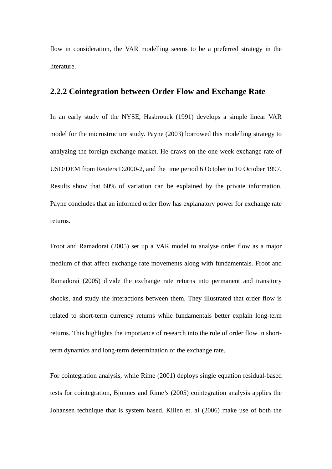flow in consideration, the VAR modelling seems to be a preferred strategy in the literature.

## <span id="page-13-0"></span>**2.2.2 Cointegration between Order Flow and Exchange Rate**

In an early study of the NYSE, Hasbrouck (1991) develops a simple linear VAR model for the microstructure study. Payne (2003) borrowed this modelling strategy to analyzing the foreign exchange market. He draws on the one week exchange rate of USD/DEM from Reuters D2000-2, and the time period 6 October to 10 October 1997. Results show that 60% of variation can be explained by the private information. Payne concludes that an informed order flow has explanatory power for exchange rate returns.

Froot and Ramadorai (2005) set up a VAR model to analyse order flow as a major medium of that affect exchange rate movements along with fundamentals. Froot and Ramadorai (2005) divide the exchange rate returns into permanent and transitory shocks, and study the interactions between them. They illustrated that order flow is related to short-term currency returns while fundamentals better explain long-term returns. This highlights the importance of research into the role of order flow in shortterm dynamics and long-term determination of the exchange rate.

For cointegration analysis, while Rime (2001) deploys single equation residual-based tests for cointegration, Bjonnes and Rime's (2005) cointegration analysis applies the Johansen technique that is system based. Killen et. al (2006) make use of both the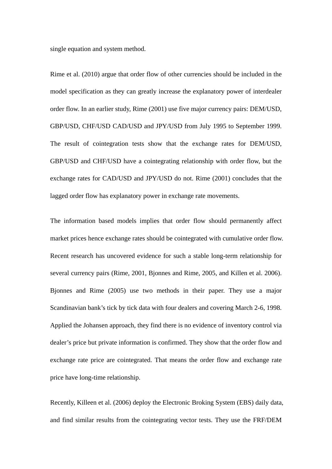single equation and system method.

Rime et al. (2010) argue that order flow of other currencies should be included in the model specification as they can greatly increase the explanatory power of interdealer order flow. In an earlier study, Rime (2001) use five major currency pairs: DEM/USD, GBP/USD, CHF/USD CAD/USD and JPY/USD from July 1995 to September 1999. The result of cointegration tests show that the exchange rates for DEM/USD, GBP/USD and CHF/USD have a cointegrating relationship with order flow, but the exchange rates for CAD/USD and JPY/USD do not. Rime (2001) concludes that the lagged order flow has explanatory power in exchange rate movements.

The information based models implies that order flow should permanently affect market prices hence exchange rates should be cointegrated with cumulative order flow. Recent research has uncovered evidence for such a stable long-term relationship for several currency pairs (Rime, 2001, Bjonnes and Rime, 2005, and Killen et al. 2006). Bjonnes and Rime (2005) use two methods in their paper. They use a major Scandinavian bank's tick by tick data with four dealers and covering March 2-6, 1998. Applied the Johansen approach, they find there is no evidence of inventory control via dealer's price but private information is confirmed. They show that the order flow and exchange rate price are cointegrated. That means the order flow and exchange rate price have long-time relationship.

Recently, Killeen et al. (2006) deploy the Electronic Broking System (EBS) daily data, and find similar results from the cointegrating vector tests. They use the FRF/DEM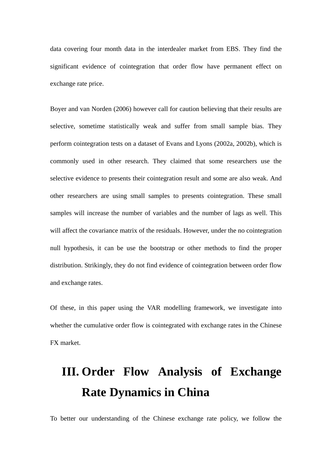data covering four month data in the interdealer market from EBS. They find the significant evidence of cointegration that order flow have permanent effect on exchange rate price.

Boyer and van Norden (2006) however call for caution believing that their results are selective, sometime statistically weak and suffer from small sample bias. They perform cointegration tests on a dataset of Evans and Lyons (2002a, 2002b), which is commonly used in other research. They claimed that some researchers use the selective evidence to presents their cointegration result and some are also weak. And other researchers are using small samples to presents cointegration. These small samples will increase the number of variables and the number of lags as well. This will affect the covariance matrix of the residuals. However, under the no cointegration null hypothesis, it can be use the bootstrap or other methods to find the proper distribution. Strikingly, they do not find evidence of cointegration between order flow and exchange rates.

Of these, in this paper using the VAR modelling framework, we investigate into whether the cumulative order flow is cointegrated with exchange rates in the Chinese FX market.

# <span id="page-15-0"></span>**III. Order Flow Analysis of Exchange Rate Dynamics in China**

To better our understanding of the Chinese exchange rate policy, we follow the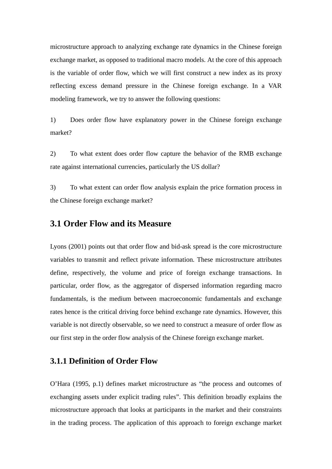microstructure approach to analyzing exchange rate dynamics in the Chinese foreign exchange market, as opposed to traditional macro models. At the core of this approach is the variable of order flow, which we will first construct a new index as its proxy reflecting excess demand pressure in the Chinese foreign exchange. In a VAR modeling framework, we try to answer the following questions:

1) Does order flow have explanatory power in the Chinese foreign exchange market?

2) To what extent does order flow capture the behavior of the RMB exchange rate against international currencies, particularly the US dollar?

3) To what extent can order flow analysis explain the price formation process in the Chinese foreign exchange market?

## <span id="page-16-0"></span>**3.1 Order Flow and its Measure**

Lyons (2001) points out that order flow and bid-ask spread is the core microstructure variables to transmit and reflect private information. These microstructure attributes define, respectively, the volume and price of foreign exchange transactions. In particular, order flow, as the aggregator of dispersed information regarding macro fundamentals, is the medium between macroeconomic fundamentals and exchange rates hence is the critical driving force behind exchange rate dynamics. However, this variable is not directly observable, so we need to construct a measure of order flow as our first step in the order flow analysis of the Chinese foreign exchange market.

#### <span id="page-16-1"></span>**3.1.1 Definition of Order Flow**

O'Hara (1995, p.1) defines market microstructure as "the process and outcomes of exchanging assets under explicit trading rules". This definition broadly explains the microstructure approach that looks at participants in the market and their constraints in the trading process. The application of this approach to foreign exchange market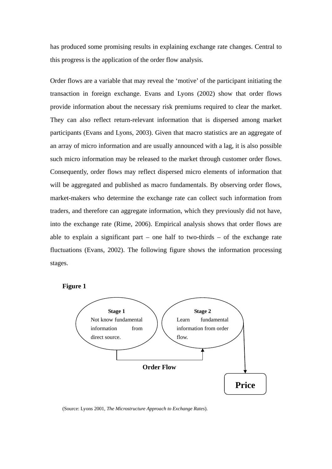has produced some promising results in explaining exchange rate changes. Central to this progress is the application of the order flow analysis.

Order flows are a variable that may reveal the 'motive' of the participant initiating the transaction in foreign exchange. Evans and Lyons (2002) show that order flows provide information about the necessary risk premiums required to clear the market. They can also reflect return-relevant information that is dispersed among market participants (Evans and Lyons, 2003). Given that macro statistics are an aggregate of an array of micro information and are usually announced with a lag, it is also possible such micro information may be released to the market through customer order flows. Consequently, order flows may reflect dispersed micro elements of information that will be aggregated and published as macro fundamentals. By observing order flows, market-makers who determine the exchange rate can collect such information from traders, and therefore can aggregate information, which they previously did not have, into the exchange rate (Rime, 2006). Empirical analysis shows that order flows are able to explain a significant part – one half to two-thirds – of the exchange rate fluctuations (Evans, 2002). The following figure shows the information processing stages.

**Figure 1**



(Source: Lyons 2001, *The Microstructure Approach to Exchange Rates*).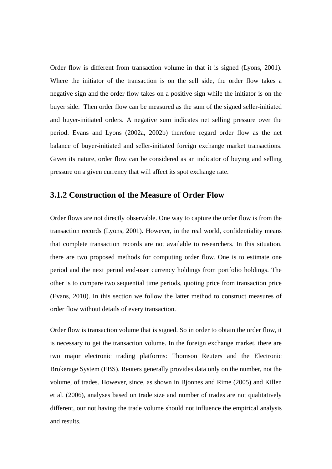Order flow is different from transaction volume in that it is signed (Lyons, 2001). Where the initiator of the transaction is on the sell side, the order flow takes a negative sign and the order flow takes on a positive sign while the initiator is on the buyer side. Then order flow can be measured as the sum of the signed seller-initiated and buyer-initiated orders. A negative sum indicates net selling pressure over the period. Evans and Lyons (2002a, 2002b) therefore regard order flow as the net balance of buyer-initiated and seller-initiated foreign exchange market transactions. Given its nature, order flow can be considered as an indicator of buying and selling pressure on a given currency that will affect its spot exchange rate.

## <span id="page-18-0"></span>**3.1.2 Construction of the Measure of Order Flow**

Order flows are not directly observable. One way to capture the order flow is from the transaction records (Lyons, 2001). However, in the real world, confidentiality means that complete transaction records are not available to researchers. In this situation, there are two proposed methods for computing order flow. One is to estimate one period and the next period end-user currency holdings from portfolio holdings. The other is to compare two sequential time periods, quoting price from transaction price (Evans, 2010). In this section we follow the latter method to construct measures of order flow without details of every transaction.

Order flow is transaction volume that is signed. So in order to obtain the order flow, it is necessary to get the transaction volume. In the foreign exchange market, there are two major electronic trading platforms: Thomson Reuters and the Electronic Brokerage System (EBS). Reuters generally provides data only on the number, not the volume, of trades. However, since, as shown in Bjonnes and Rime (2005) and Killen et al. (2006), analyses based on trade size and number of trades are not qualitatively different, our not having the trade volume should not influence the empirical analysis and results.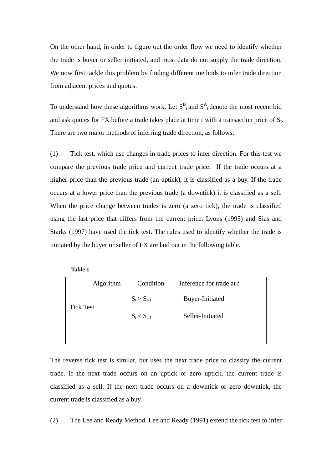On the other hand, in order to figure out the order flow we need to identify whether the trade is buyer or seller initiated, and most data do not supply the trade direction. We now first tackle this problem by finding different methods to infer trade direction from adjacent prices and quotes.

To understand how these algorithms work, Let  $S<sup>B</sup><sub>t</sub>$  and  $S<sup>A</sup><sub>t</sub>$  denote the most recent bid and ask quotes for FX before a trade takes place at time t with a transaction price of  $S_t$ . There are two major methods of inferring trade direction, as follows:

(1) Tick test, which use changes in trade prices to infer direction. For this test we compare the previous trade price and current trade price. If the trade occurs at a higher price than the previous trade (an uptick), it is classified as a buy. If the trade occurs at a lower price than the previous trade (a downtick) it is classified as a sell. When the price change between trades is zero (a zero tick), the trade is classified using the last price that differs from the current price. Lyons (1995) and Sias and Starks (1997) have used the tick test. The rules used to identify whether the trade is initiated by the buyer or seller of FX are laid out in the following table.

| lable |  |
|-------|--|
|-------|--|

|                  | Algorithm | Condition       | Inference for trade at t |  |
|------------------|-----------|-----------------|--------------------------|--|
| <b>Tick Test</b> |           | $S_t > S_{t-1}$ | Buyer-Initiated          |  |
|                  |           | $S_t < S_{t-1}$ | Seller-Initiated         |  |
|                  |           |                 |                          |  |

The reverse tick test is similar, but uses the next trade price to classify the current trade. If the next trade occurs on an uptick or zero uptick, the current trade is classified as a sell. If the next trade occurs on a downtick or zero downtick, the current trade is classified as a buy.

(2) The Lee and Ready Method. Lee and Ready (1991) extend the tick test to infer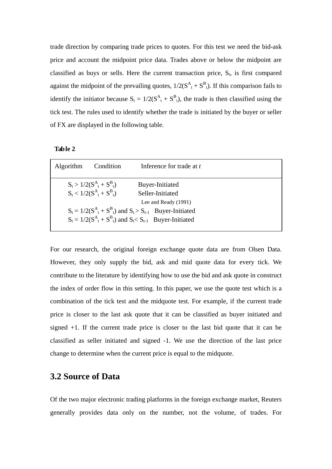trade direction by comparing trade prices to quotes. For this test we need the bid-ask price and account the midpoint price data. Trades above or below the midpoint are classified as buys or sells. Here the current transaction price,  $S_t$ , is first compared against the midpoint of the prevailing quotes,  $1/2(S^A_t + S^B_t)$ . If this comparison fails to identify the initiator because  $S_t = 1/2(S^A_t + S^B_t)$ , the trade is then classified using the tick test. The rules used to identify whether the trade is initiated by the buyer or seller of FX are displayed in the following table.

**Table 2**

| Algorithm | Condition                                                    | Inference for trade at t                                                                                                                                                                        |  |
|-----------|--------------------------------------------------------------|-------------------------------------------------------------------------------------------------------------------------------------------------------------------------------------------------|--|
|           | $S_t > 1/2(S^A_t + S^B_t)$<br>$S_t < 1/2(S_{t}^A + S_{t}^B)$ | Buyer-Initiated<br>Seller-Initiated<br>Lee and Ready (1991)<br>$S_t = 1/2(S^A_t + S^B_t)$ and $S_t > S_{t-1}$ Buyer-Initiated<br>$S_t = 1/2(S^A_t + S^B_t)$ and $S_t < S_{t-1}$ Buyer-Initiated |  |

For our research, the original foreign exchange quote data are from Olsen Data. However, they only supply the bid, ask and mid quote data for every tick. We contribute to the literature by identifying how to use the bid and ask quote in construct the index of order flow in this setting. In this paper, we use the quote test which is a combination of the tick test and the midquote test. For example, if the current trade price is closer to the last ask quote that it can be classified as buyer initiated and signed +1. If the current trade price is closer to the last bid quote that it can be classified as seller initiated and signed -1. We use the direction of the last price change to determine when the current price is equal to the midquote.

## <span id="page-20-0"></span>**3.2 Source of Data**

Of the two major electronic trading platforms in the foreign exchange market, Reuters generally provides data only on the number, not the volume, of trades. For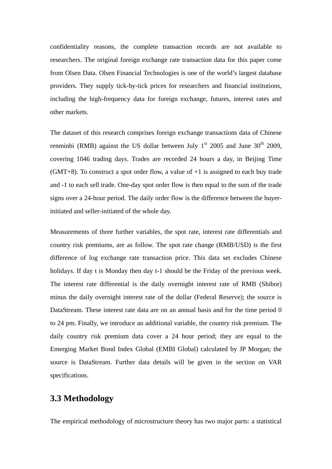confidentiality reasons, the complete transaction records are not available to researchers. The original foreign exchange rate transaction data for this paper come from Olsen Data. Olsen Financial Technologies is one of the world's largest database providers. They supply tick-by-tick prices for researchers and financial institutions, including the high-frequency data for foreign exchange, futures, interest rates and other markets.

The dataset of this research comprises foreign exchange transactions data of Chinese renminbi (RMB) against the US dollar between July  $1<sup>st</sup>$  2005 and June 30<sup>th</sup> 2009, covering 1046 trading days. Trades are recorded 24 hours a day, in Beijing Time  $(GMT+8)$ . To construct a spot order flow, a value of  $+1$  is assigned to each buy trade and -1 to each sell trade. One-day spot order flow is then equal to the sum of the trade signs over a 24-hour period. The daily order flow is the difference between the buyerinitiated and seller-initiated of the whole day.

Measurements of three further variables, the spot rate, interest rate differentials and country risk premiums, are as follow. The spot rate change (RMB/USD) is the first difference of log exchange rate transaction price. This data set excludes Chinese holidays. If day t is Monday then day t-1 should be the Friday of the previous week. The interest rate differential is the daily overnight interest rate of RMB (Shibor) minus the daily overnight interest rate of the dollar (Federal Reserve); the source is DataStream. These interest rate data are on an annual basis and for the time period 0 to 24 pm. Finally, we introduce an additional variable, the country risk premium. The daily country risk premium data cover a 24 hour period; they are equal to the Emerging Market Bond Index Global (EMBI Global) calculated by JP Morgan; the source is DataStream. Further data details will be given in the section on VAR specifications.

## <span id="page-21-0"></span>**3.3 Methodology**

The empirical methodology of microstructure theory has two major parts: a statistical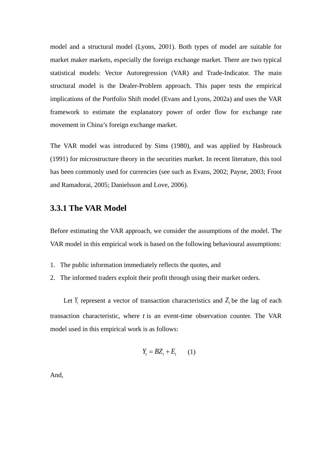model and a structural model (Lyons, 2001). Both types of model are suitable for market maker markets, especially the foreign exchange market. There are two typical statistical models: Vector Autoregression (VAR) and Trade-Indicator. The main structural model is the Dealer-Problem approach. This paper tests the empirical implications of the Portfolio Shift model (Evans and Lyons, 2002a) and uses the VAR framework to estimate the explanatory power of order flow for exchange rate movement in China's foreign exchange market.

The VAR model was introduced by Sims (1980), and was applied by Hasbrouck (1991) for microstructure theory in the securities market. In recent literature, this tool has been commonly used for currencies (see such as Evans, 2002; Payne, 2003; Froot and Ramadorai, 2005; Danielsson and Love, 2006).

#### <span id="page-22-0"></span>**3.3.1 The VAR Model**

Before estimating the VAR approach, we consider the assumptions of the model. The VAR model in this empirical work is based on the following behavioural assumptions:

- 1. The public information immediately reflects the quotes, and
- 2. The informed traders exploit their profit through using their market orders.

Let  $Y_t$  represent a vector of transaction characteristics and  $Z_t$  be the lag of each transaction characteristic, where *t* is an event-time observation counter. The VAR model used in this empirical work is as follows:

$$
Y_t = BZ_t + E_t \qquad (1)
$$

And,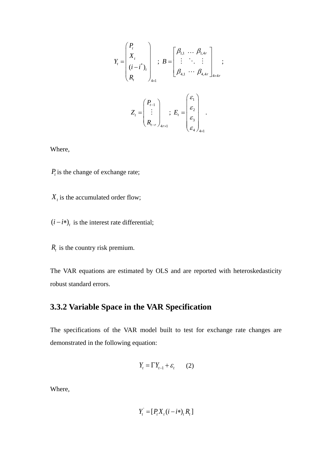$$
Y_{t} = \begin{pmatrix} P_{t} \\ X_{t} \\ (i - i^{*})_{t} \\ R_{t} \end{pmatrix}_{4 \times 1} ; B = \begin{bmatrix} \beta_{1,1} & \dots & \beta_{1,4r} \\ \vdots & \ddots & \vdots \\ \beta_{4,1} & \dots & \beta_{4,4r} \end{bmatrix}_{4 \times 4r} ;
$$

$$
Z_{t} = \begin{pmatrix} P_{t-1} \\ \vdots \\ P_{t-r} \end{pmatrix}_{4 \times 1} ; E_{t} = \begin{pmatrix} \varepsilon_{1} \\ \varepsilon_{2} \\ \varepsilon_{3} \\ \varepsilon_{4} \end{pmatrix}_{4 \times 1} .
$$

Where,

 $P_t$  is the change of exchange rate;

 $X_t$  is the accumulated order flow;

 $(i - i*)$ <sub>t</sub> is the interest rate differential;

 $R_t$  is the country risk premium.

The VAR equations are estimated by OLS and are reported with heteroskedasticity robust standard errors.

## <span id="page-23-0"></span>**3.3.2 Variable Space in the VAR Specification**

The specifications of the VAR model built to test for exchange rate changes are demonstrated in the following equation:

$$
Y_t = \Gamma Y_{t-1} + \varepsilon_t \qquad (2)
$$

Where,

$$
Y_t = [P_t X_t (i - i*)_t R_t]
$$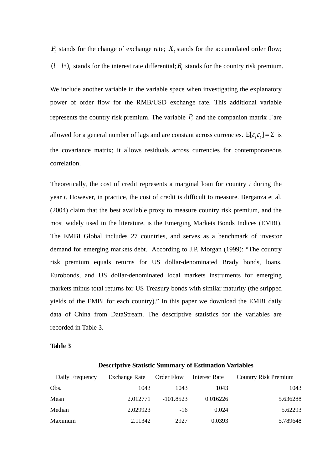$P_t$  stands for the change of exchange rate;  $X_t$  stands for the accumulated order flow;  $(i - i*)$ <sub>t</sub> stands for the interest rate differential;  $R_t$  stands for the country risk premium.

We include another variable in the variable space when investigating the explanatory power of order flow for the RMB/USD exchange rate. This additional variable represents the country risk premium. The variable  $P_t$  and the companion matrix  $\Gamma$  are allowed for a general number of lags and are constant across currencies.  $E[\varepsilon_i \varepsilon_i] = \Sigma$  is the covariance matrix; it allows residuals across currencies for contemporaneous correlation.

Theoretically, the cost of credit represents a marginal loan for country *i* during the year *t*. However, in practice, the cost of credit is difficult to measure. Berganza et al. (2004) claim that the best available proxy to measure country risk premium, and the most widely used in the literature, is the Emerging Markets Bonds Indices (EMBI). The EMBI Global includes 27 countries, and serves as a benchmark of investor demand for emerging markets debt. According to J.P. Morgan (1999): "The country risk premium equals returns for US dollar-denominated Brady bonds, loans, Eurobonds, and US dollar-denominated local markets instruments for emerging markets minus total returns for US Treasury bonds with similar maturity (the stripped yields of the EMBI for each country)." In this paper we download the EMBI daily data of China from DataStream. The descriptive statistics for the variables are recorded in Table 3.

#### **Table 3**

| Daily Frequency | <b>Exchange Rate</b> | Order Flow  | <b>Interest Rate</b> | <b>Country Risk Premium</b> |
|-----------------|----------------------|-------------|----------------------|-----------------------------|
| Obs.            | 1043                 | 1043        | 1043                 | 1043                        |
| Mean            | 2.012771             | $-101.8523$ | 0.016226             | 5.636288                    |
| Median          | 2.029923             | $-16$       | 0.024                | 5.62293                     |
| Maximum         | 2.11342              | 2927        | 0.0393               | 5.789648                    |

**Descriptive Statistic Summary of Estimation Variables**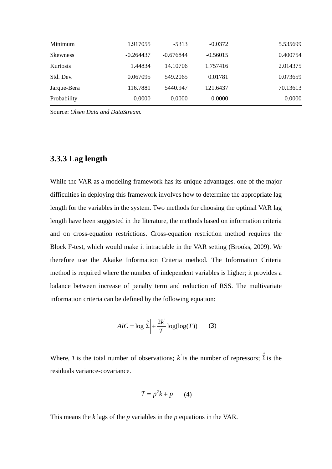| Minimum         | 1.917055    | $-5313$     | $-0.0372$  | 5.535699 |
|-----------------|-------------|-------------|------------|----------|
| <b>Skewness</b> | $-0.264437$ | $-0.676844$ | $-0.56015$ | 0.400754 |
| Kurtosis        | 1.44834     | 14.10706    | 1.757416   | 2.014375 |
| Std. Dev.       | 0.067095    | 549.2065    | 0.01781    | 0.073659 |
| Jarque-Bera     | 116.7881    | 5440.947    | 121.6437   | 70.13613 |
| Probability     | 0.0000      | 0.0000      | 0.0000     | 0.0000   |

Source: *Olsen Data and DataStream.*

## <span id="page-25-0"></span>**3.3.3 Lag length**

While the VAR as a modeling framework has its unique advantages. one of the major difficulties in deploying this framework involves how to determine the appropriate lag length for the variables in the system. Two methods for choosing the optimal VAR lag length have been suggested in the literature, the methods based on information criteria and on cross-equation restrictions. Cross-equation restriction method requires the Block F-test, which would make it intractable in the VAR setting (Brooks, 2009). We therefore use the Akaike Information Criteria method. The Information Criteria method is required where the number of independent variables is higher; it provides a balance between increase of penalty term and reduction of RSS. The multivariate information criteria can be defined by the following equation:

$$
AIC = \log \left| \hat{\Sigma} \right| + \frac{2k'}{T} \log(\log(T)) \qquad (3)
$$

Where, *T* is the total number of observations; k is the number of repressors;  $\hat{\Sigma}$  is the residuals variance-covariance.

$$
T = p^2k + p \qquad (4)
$$

This means the *k* lags of the *p* variables in the *p* equations in the VAR.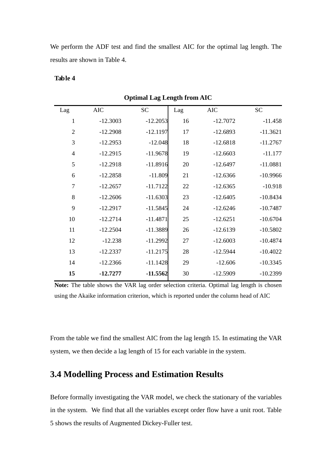We perform the ADF test and find the smallest AIC for the optimal lag length. The results are shown in Table 4.

#### **Table 4**

| Lag            | <b>AIC</b> | <b>SC</b>  | Lag | <b>AIC</b> | <b>SC</b>  |
|----------------|------------|------------|-----|------------|------------|
| 1              | $-12.3003$ | $-12.2053$ | 16  | $-12.7072$ | $-11.458$  |
| $\overline{2}$ | $-12.2908$ | $-12.1197$ | 17  | $-12.6893$ | $-11.3621$ |
| 3              | $-12.2953$ | $-12.048$  | 18  | $-12.6818$ | $-11.2767$ |
| $\overline{4}$ | $-12.2915$ | $-11.9678$ | 19  | $-12.6603$ | $-11.177$  |
| 5              | $-12.2918$ | $-11.8916$ | 20  | $-12.6497$ | $-11.0881$ |
| 6              | $-12.2858$ | $-11.809$  | 21  | $-12.6366$ | $-10.9966$ |
| $\tau$         | $-12.2657$ | $-11.7122$ | 22  | $-12.6365$ | $-10.918$  |
| 8              | $-12.2606$ | $-11.6303$ | 23  | $-12.6405$ | $-10.8434$ |
| 9              | $-12.2917$ | $-11.5845$ | 24  | $-12.6246$ | $-10.7487$ |
| 10             | $-12.2714$ | $-11.4871$ | 25  | $-12.6251$ | $-10.6704$ |
| 11             | $-12.2504$ | $-11.3889$ | 26  | $-12.6139$ | $-10.5802$ |
| 12             | $-12.238$  | $-11.2992$ | 27  | $-12.6003$ | $-10.4874$ |
| 13             | $-12.2337$ | $-11.2175$ | 28  | $-12.5944$ | $-10.4022$ |
| 14             | $-12.2366$ | $-11.1428$ | 29  | $-12.606$  | $-10.3345$ |
| 15             | $-12.7277$ | $-11.5562$ | 30  | $-12.5909$ | $-10.2399$ |

**Optimal Lag Length from AIC**

**Note:** The table shows the VAR lag order selection criteria. Optimal lag length is chosen using the Akaike information criterion, which is reported under the column head of AIC

From the table we find the smallest AIC from the lag length 15. In estimating the VAR system, we then decide a lag length of 15 for each variable in the system.

## <span id="page-26-0"></span>**3.4 Modelling Process and Estimation Results**

Before formally investigating the VAR model, we check the stationary of the variables in the system. We find that all the variables except order flow have a unit root. Table 5 shows the results of Augmented Dickey-Fuller test.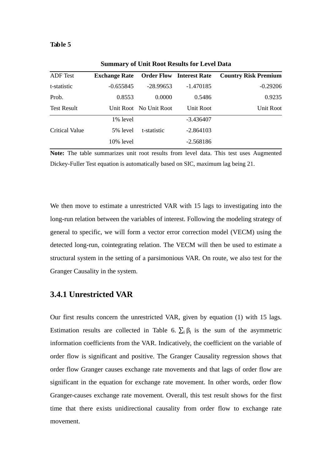#### **Table 5**

| <b>ADF</b> Test    | <b>Exchange Rate</b> Order Flow Interest Rate |                        |             | <b>Country Risk Premium</b> |
|--------------------|-----------------------------------------------|------------------------|-------------|-----------------------------|
| t-statistic        | $-0.655845$                                   | $-28.99653$            | $-1.470185$ | $-0.29206$                  |
| Prob.              | 0.8553                                        | 0.0000                 | 0.5486      | 0.9235                      |
| <b>Test Result</b> |                                               | Unit Root No Unit Root | Unit Root   | Unit Root                   |
|                    | 1% level                                      |                        | $-3.436407$ |                             |
| Critical Value     | 5% level                                      | t-statistic            | $-2.864103$ |                             |
|                    | $10\%$ level                                  |                        | $-2.568186$ |                             |

**Summary of Unit Root Results for Level Data**

**Note:** The table summarizes unit root results from level data. This test uses Augmented Dickey-Fuller Test equation is automatically based on SIC, maximum lag being 21.

We then move to estimate a unrestricted VAR with 15 lags to investigating into the long-run relation between the variables of interest. Following the modeling strategy of general to specific, we will form a vector error correction model (VECM) using the detected long-run, cointegrating relation. The VECM will then be used to estimate a structural system in the setting of a parsimonious VAR. On route, we also test for the Granger Causality in the system.

#### <span id="page-27-0"></span>**3.4.1 Unrestricted VAR**

Our first results concern the unrestricted VAR, given by equation (1) with 15 lags. Estimation results are collected in Table 6.  $\sum_i \beta_i$  is the sum of the asymmetric information coefficients from the VAR. Indicatively, the coefficient on the variable of order flow is significant and positive. The Granger Causality regression shows that order flow Granger causes exchange rate movements and that lags of order flow are significant in the equation for exchange rate movement. In other words, order flow Granger-causes exchange rate movement. Overall, this test result shows for the first time that there exists unidirectional causality from order flow to exchange rate movement.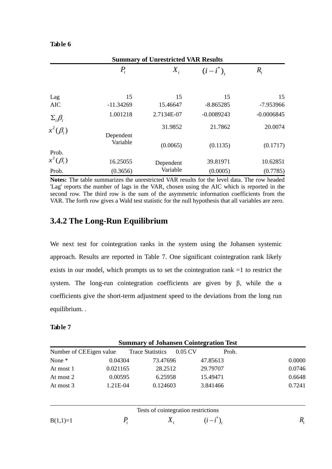#### **Table 6**

| <b>Summary of Unrestricted VAR Results</b> |             |            |              |              |  |
|--------------------------------------------|-------------|------------|--------------|--------------|--|
|                                            | $P_{t}$     | $X_{t}$    | $(i-i^*)$    | $R_{t}$      |  |
|                                            | 15          | 15         | 15           | 15           |  |
| Lag<br><b>AIC</b>                          | $-11.34269$ | 15.46647   | $-8.865285$  | -7.953966    |  |
| $\Sigma_i \beta_i$                         | 1.001218    | 2.7134E-07 | $-0.0089243$ | $-0.0006845$ |  |
| $x^2(\beta_i)$                             | Dependent   | 31.9852    | 21.7862      | 20.0074      |  |
| Prob.                                      | Variable    | (0.0065)   | (0.1135)     | (0.1717)     |  |
| $x^2(\beta_i)$                             | 16.25055    | Dependent  | 39.81971     | 10.62851     |  |
| Prob.                                      | (0.3656)    | Variable   | (0.0005)     | (0.7785)     |  |

**Notes:** The table summarizes the unrestricted VAR results for the level data. The row headed 'Lag' reports the number of lags in the VAR, chosen using the AIC which is reported in the second row. The third row is the sum of the asymmetric information coefficients from the VAR. The forth row gives a Wald test statistic for the null hypothesis that all variables are zero.

## <span id="page-28-0"></span>**3.4.2 The Long-Run Equilibrium**

We next test for cointegration ranks in the system using the Johansen systemic approach. Results are reported in Table 7. One significant cointegration rank likely exists in our model, which prompts us to set the cointegration rank =1 to restrict the system. The long-run cointegration coefficients are given by  $\beta$ , while the  $\alpha$ coefficients give the short-term adjustment speed to the deviations from the long run equilibrium. .

#### **Table 7**

|                          | <b>Summary of Johansen Cointegration Test</b> |                                     |         |             |        |  |
|--------------------------|-----------------------------------------------|-------------------------------------|---------|-------------|--------|--|
| Number of CE Eigen value |                                               | <b>Trace Statistics</b>             | 0.05 CV | Prob.       |        |  |
| None *                   | 0.04304                                       | 73.47696                            |         | 47.85613    | 0.0000 |  |
| At most 1                | 0.021165                                      | 28.2512                             |         | 29.79707    | 0.0746 |  |
| At most 2                | 0.00595                                       | 6.25958                             |         | 15.49471    | 0.6648 |  |
| At most 3                | 1.21E-04                                      | 0.124603                            |         | 3.841466    | 0.7241 |  |
|                          |                                               | Tests of cointegration restrictions |         |             |        |  |
| $B(1,1)=1$               |                                               | $X_{\tau}$                          |         | $(i-i^*)$ . | R,     |  |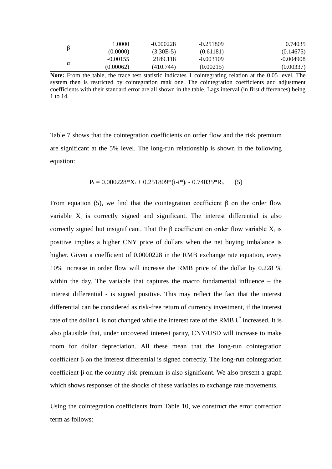| ß | 1.0000     | $-0.000228$ | $-0.251809$ | 0.74035     |
|---|------------|-------------|-------------|-------------|
|   | (0.0000)   | $(3.30E-5)$ | (0.61181)   | (0.14675)   |
|   | $-0.00155$ | 2189.118    | $-0.003109$ | $-0.004908$ |
| α | (0.00062)  | (410.744)   | (0.00215)   | (0.00337)   |
|   |            |             |             |             |

**Note:** From the table, the trace test statistic indicates 1 cointegrating relation at the 0.05 level. The system then is restricted by cointegration rank one. The cointegration coefficients and adjustment coefficients with their standard error are all shown in the table. Lags interval (in first differences) being 1 to 14.

Table 7 shows that the cointegration coefficients on order flow and the risk premium are significant at the 5% level. The long-run relationship is shown in the following equation:

$$
P_t = 0.000228 \cdot X_t + 0.251809 \cdot (i \cdot i^*)_t - 0.74035 \cdot R_t. \tag{5}
$$

From equation (5), we find that the cointegration coefficient  $\beta$  on the order flow variable  $X_t$  is correctly signed and significant. The interest differential is also correctly signed but insignificant. That the  $\beta$  coefficient on order flow variable  $X_t$  is positive implies a higher CNY price of dollars when the net buying imbalance is higher. Given a coefficient of 0.0000228 in the RMB exchange rate equation, every 10% increase in order flow will increase the RMB price of the dollar by 0.228 % within the day. The variable that captures the macro fundamental influence – the interest differential - is signed positive. This may reflect the fact that the interest differential can be considered as risk-free return of currency investment, if the interest rate of the dollar  $i_t$  is not changed while the interest rate of the RMB  $i_t^*$  increased. It is also plausible that, under uncovered interest parity, CNY/USD will increase to make room for dollar depreciation. All these mean that the long-run cointegration coefficient β on the interest differential is signed correctly. The long-run cointegration coefficient β on the country risk premium is also significant. We also present a graph which shows responses of the shocks of these variables to exchange rate movements.

Using the cointegration coefficients from Table 10, we construct the error correction term as follows: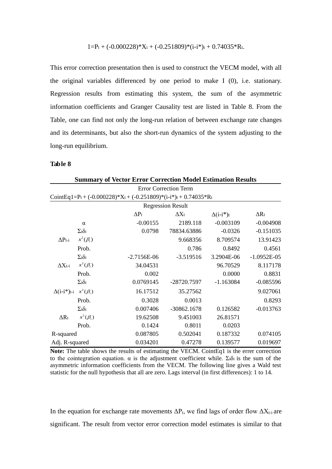$$
1\hspace{-1mm}=\hspace{-1mm}P_t + (-0.000228)^*X_t + (-0.251809)^*(i\text{-}i^*)_t + 0.74035^*R_t.
$$

This error correction presentation then is used to construct the VECM model, with all the original variables differenced by one period to make I (0), i.e. stationary. Regression results from estimating this system, the sum of the asymmetric information coefficients and Granger Causality test are listed in Table 8. From the Table, one can find not only the long-run relation of between exchange rate changes and its determinants, but also the short-run dynamics of the system adjusting to the long-run equilibrium.

#### **Table 8**

|                                    | <b>Summary of Vector Error Correction Model Estimation Results</b> |                                                                                                               |                              |                   |               |  |  |  |
|------------------------------------|--------------------------------------------------------------------|---------------------------------------------------------------------------------------------------------------|------------------------------|-------------------|---------------|--|--|--|
|                                    |                                                                    |                                                                                                               | <b>Error Correction Term</b> |                   |               |  |  |  |
|                                    |                                                                    | CointEq1=Pt + $(-0.000228)$ <sup>*</sup> Xt + $(-0.251809)$ <sup>*</sup> $(i-i*)$ t + 0.74035 <sup>*</sup> Rt |                              |                   |               |  |  |  |
|                                    |                                                                    |                                                                                                               | <b>Regression Result</b>     |                   |               |  |  |  |
|                                    |                                                                    | $\Delta P_t$                                                                                                  | $\Delta X_t$                 | $\Delta(i-i^*)$ t | $\Delta R_t$  |  |  |  |
|                                    | $\alpha$                                                           | $-0.00155$                                                                                                    | 2189.118                     | $-0.003109$       | $-0.004908$   |  |  |  |
|                                    | $\Sigma_i\delta_i$                                                 | 0.0798                                                                                                        | 78834.63886                  | $-0.0326$         | $-0.151035$   |  |  |  |
| $\Delta P_{t-i}$                   | $x^2(\beta_i)$                                                     |                                                                                                               | 9.668356                     | 8.709574          | 13.91423      |  |  |  |
|                                    | Prob.                                                              |                                                                                                               | 0.786                        | 0.8492            | 0.4561        |  |  |  |
|                                    | $\Sigma_i\delta_i$                                                 | $-2.7156E-06$                                                                                                 | $-3.519516$                  | 3.2904E-06        | $-1.0952E-05$ |  |  |  |
| $\Delta X$ t-i                     | $x^2(\beta_i)$                                                     | 34.04531                                                                                                      |                              | 96.70529          | 8.117178      |  |  |  |
|                                    | Prob.                                                              | 0.002                                                                                                         |                              | 0.0000            | 0.8831        |  |  |  |
|                                    | $\Sigma_i\delta_i$                                                 | 0.0769145                                                                                                     | -28720.7597                  | $-1.163084$       | $-0.085596$   |  |  |  |
| $\Delta(i-i^*)$ t-i $x^2(\beta_i)$ |                                                                    | 16.17512                                                                                                      | 35.27562                     |                   | 9.027061      |  |  |  |
|                                    | Prob.                                                              | 0.3028                                                                                                        | 0.0013                       |                   | 0.8293        |  |  |  |
|                                    | $\Sigma_i\delta_i$                                                 | 0.007406                                                                                                      | $-30862.1678$                | 0.126582          | $-0.013763$   |  |  |  |
| $\Delta R_t$                       | $x^2(\beta_i)$                                                     | 19.62508                                                                                                      | 9.451003                     | 26.81571          |               |  |  |  |
|                                    | Prob.                                                              | 0.1424                                                                                                        | 0.8011                       | 0.0203            |               |  |  |  |
| R-squared                          |                                                                    | 0.087805                                                                                                      | 0.502041                     | 0.187332          | 0.074105      |  |  |  |
| Adj. R-squared                     |                                                                    | 0.034201                                                                                                      | 0.47278                      | 0.139577          | 0.019697      |  |  |  |

**Note:** The table shows the results of estimating the VECM. CointEq1 is the errer correction to the cointegration equation. α is the adjustment coefficient while. Σiδi is the sum of the asymmetric information coefficients from the VECM. The following line gives a Wald test statistic for the null hypothesis that all are zero. Lags interval (in first differences): 1 to 14.

In the equation for exchange rate movements  $\Delta P_t$ , we find lags of order flow  $\Delta X_{t-i}$  are significant. The result from vector error correction model estimates is similar to that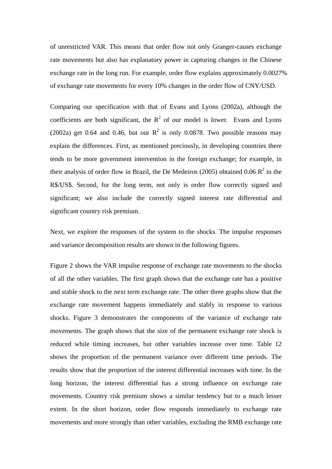of unrestricted VAR. This means that order flow not only Granger-causes exchange rate movements but also has explanatory power in capturing changes in the Chinese exchange rate in the long run. For example, order flow explains approximately 0.0027% of exchange rate movements for every 10% changes in the order flow of CNY/USD.

Comparing our specification with that of Evans and Lyons (2002a), although the coefficients are both significant, the  $R^2$  of our model is lower. Evans and Lyons (2002a) get 0.64 and 0.46, but our  $R^2$  is only 0.0878. Two possible reasons may explain the differences. First, as mentioned preciously, in developing countries there tends to be more government intervention in the foreign exchange; for example, in their analysis of order flow in Brazil, the De Medeiros (2005) obtained 0.06  $\mathbb{R}^2$  in the R\$/US\$. Second, for the long term, not only is order flow correctly signed and significant; we also include the correctly signed interest rate differential and significant country risk premium.

Next, we explore the responses of the system to the shocks. The impulse responses and variance decomposition results are shown in the following figures.

Figure 2 shows the VAR impulse response of exchange rate movements to the shocks of all the other variables. The first graph shows that the exchange rate has a positive and stable shock to the next term exchange rate. The other three graphs show that the exchange rate movement happens immediately and stably in response to various shocks. Figure 3 demonstrates the components of the variance of exchange rate movements. The graph shows that the size of the permanent exchange rate shock is reduced while timing increases, but other variables increase over time. Table 12 shows the proportion of the permanent variance over different time periods. The results show that the proportion of the interest differential increases with time. In the long horizon, the interest differential has a strong influence on exchange rate movements. Country risk premium shows a similar tendency but to a much lesser extent. In the short horizon, order flow responds immediately to exchange rate movements and more strongly than other variables, excluding the RMB exchange rate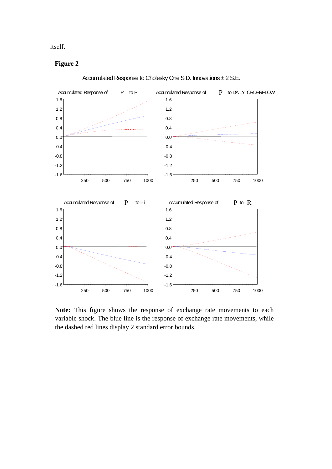itself.

#### **Figure 2**



Accumulated Response to Cholesky One S.D. Innovations ± 2 S.E.

**Note:** This figure shows the response of exchange rate movements to each variable shock. The blue line is the response of exchange rate movements, while the dashed red lines display 2 standard error bounds.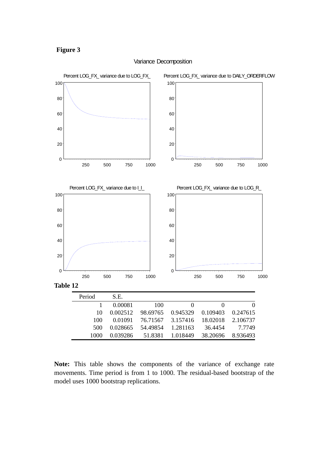



#### Variance Decomposition

**Note:** This table shows the components of the variance of exchange rate movements. Time period is from 1 to 1000. The residual-based bootstrap of the model uses 1000 bootstrap replications.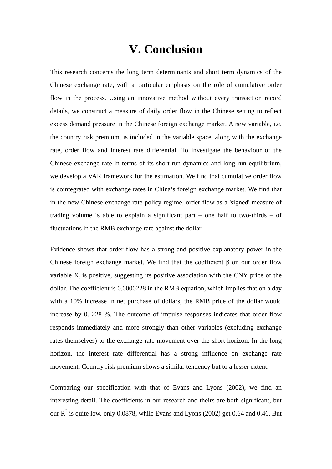# **V. Conclusion**

<span id="page-34-0"></span>This research concerns the long term determinants and short term dynamics of the Chinese exchange rate, with a particular emphasis on the role of cumulative order flow in the process. Using an innovative method without every transaction record details, we construct a measure of daily order flow in the Chinese setting to reflect excess demand pressure in the Chinese foreign exchange market. A new variable, i.e. the country risk premium, is included in the variable space, along with the exchange rate, order flow and interest rate differential. To investigate the behaviour of the Chinese exchange rate in terms of its short-run dynamics and long-run equilibrium, we develop a VAR framework for the estimation. We find that cumulative order flow is cointegrated with exchange rates in China's foreign exchange market. We find that in the new Chinese exchange rate policy regime, order flow as a 'signed' measure of trading volume is able to explain a significant part – one half to two-thirds – of fluctuations in the RMB exchange rate against the dollar.

Evidence shows that order flow has a strong and positive explanatory power in the Chinese foreign exchange market. We find that the coefficient β on our order flow variable  $X_t$  is positive, suggesting its positive association with the CNY price of the dollar. The coefficient is 0.0000228 in the RMB equation, which implies that on a day with a 10% increase in net purchase of dollars, the RMB price of the dollar would increase by 0. 228 %. The outcome of impulse responses indicates that order flow responds immediately and more strongly than other variables (excluding exchange rates themselves) to the exchange rate movement over the short horizon. In the long horizon, the interest rate differential has a strong influence on exchange rate movement. Country risk premium shows a similar tendency but to a lesser extent.

Comparing our specification with that of Evans and Lyons (2002), we find an interesting detail. The coefficients in our research and theirs are both significant, but our  $R^2$  is quite low, only 0.0878, while Evans and Lyons (2002) get 0.64 and 0.46. But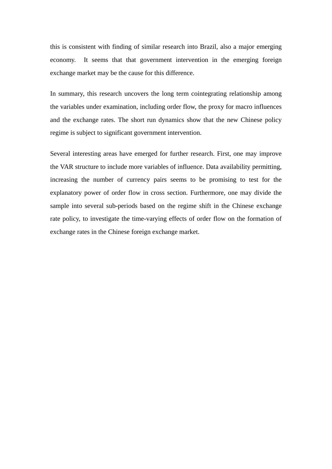this is consistent with finding of similar research into Brazil, also a major emerging economy. It seems that that government intervention in the emerging foreign exchange market may be the cause for this difference.

In summary, this research uncovers the long term cointegrating relationship among the variables under examination, including order flow, the proxy for macro influences and the exchange rates. The short run dynamics show that the new Chinese policy regime is subject to significant government intervention.

Several interesting areas have emerged for further research. First, one may improve the VAR structure to include more variables of influence. Data availability permitting, increasing the number of currency pairs seems to be promising to test for the explanatory power of order flow in cross section. Furthermore, one may divide the sample into several sub-periods based on the regime shift in the Chinese exchange rate policy, to investigate the time-varying effects of order flow on the formation of exchange rates in the Chinese foreign exchange market.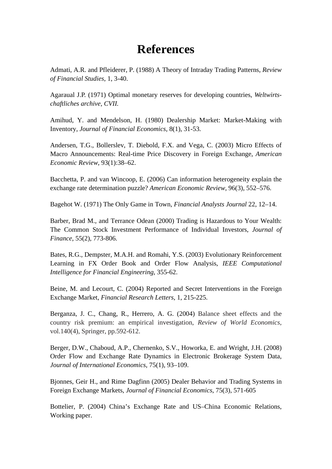# **References**

<span id="page-36-0"></span>Admati, A.R. and Pfleiderer, P. (1988) A Theory of Intraday Trading Patterns, *Review of Financial Studies*, 1, 3-40.

Agaraual J.P. (1971) Optimal monetary reserves for developing countries, *Weltwirtschaftliches archive, CVII.*

Amihud, Y. and Mendelson, H. (1980) Dealership Market: Market-Making with Inventory, *Journal of Financial Economics*, 8(1), 31-53.

Andersen, T.G., Bollerslev, T. Diebold, F.X. and Vega, C. (2003) Micro Effects of Macro Announcements: Real-time Price Discovery in Foreign Exchange, *American Economic Review*, 93(1):38–62.

Bacchetta, P. and van Wincoop, E. (2006) Can information heterogeneity explain the exchange rate determination puzzle? *American Economic Review*, 96(3), 552–576.

Bagehot W. (1971) The Only Game in Town, *Financial Analysts Journal* 22, 12–14.

Barber, Brad M., and Terrance Odean (2000) Trading is Hazardous to Your Wealth: The Common Stock Investment Performance of Individual Investors, *Journal of Finance*, 55(2), 773-806.

Bates, R.G., Dempster, M.A.H. and Romahi, Y.S. (2003) Evolutionary Reinforcement Learning in FX Order Book and Order Flow Analysis, *IEEE Computational Intelligence for Financial Engineering*, 355-62.

Beine, M. and Lecourt, C. (2004) Reported and Secret Interventions in the Foreign Exchange Market, *Financial Research Letters*, 1, 215-225.

Berganza, J. C., Chang, R., Herrero, A. G. (2004) Balance sheet effects and the country risk premium: an empirical investigation, *Review of World Economics*, vol.140(4), Springer, pp.592-612.

Berger, D.W., Chaboud, A.P., Chernenko, S.V., Howorka, E. and Wright, J.H. (2008) Order Flow and Exchange Rate Dynamics in Electronic Brokerage System Data, *Journal of International Economics*, 75(1), 93–109.

Bjonnes, Geir H., and Rime Dagfinn (2005) Dealer Behavior and Trading Systems in Foreign Exchange Markets, *Journal of Financial Economics*, 75(3), 571-605

Bottelier, P. (2004) China's Exchange Rate and US–China Economic Relations, Working paper.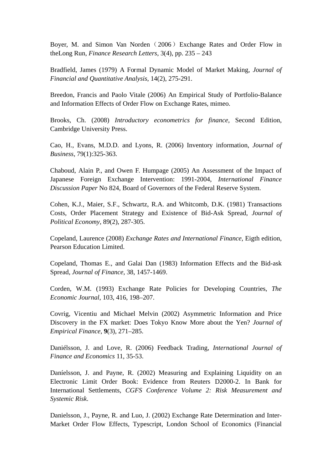Boyer, M. and Simon Van Norden (2006) Exchange Rates and Order Flow in theLong Run, *Finance Research Letters*, 3(4), pp. 235 – 243

Bradfield, James (1979) A Formal Dynamic Model of Market Making, *Journal of Financial and Quantitative Analysis*, 14(2), 275-291.

Breedon, Francis and Paolo Vitale (2006) An Empirical Study of Portfolio-Balance and Information Effects of Order Flow on Exchange Rates, mimeo.

Brooks, Ch. (2008) *Introductory econometrics for finance,* Second Edition, Cambridge University Press.

Cao, H., Evans, M.D.D. and Lyons, R. (2006) Inventory information, *Journal of Business*, 79(1):325-363.

Chaboud, Alain P., and Owen F. Humpage (2005) An Assessment of the Impact of Japanese Foreign Exchange Intervention: 1991-2004, *International Finance Discussion Paper* No 824, Board of Governors of the Federal Reserve System.

Cohen, K.J., Maier, S.F., Schwartz, R.A. and Whitcomb, D.K. (1981) Transactions Costs, Order Placement Strategy and Existence of Bid-Ask Spread, *Journal of Political Economy*, 89(2), 287-305.

Copeland, Laurence (2008) *Exchange Rates and International Finance*, Eigth edition, Pearson Education Limited.

Copeland, Thomas E., and Galai Dan (1983) Information Effects and the Bid-ask Spread, *Journal of Finance*, 38, 1457-1469.

Corden, W.M. (1993) Exchange Rate Policies for Developing Countries, *The Economic Journal*, 103, 416, 198–207.

Covrig, Vicentiu and Michael Melvin (2002) Asymmetric Information and Price Discovery in the FX market: Does Tokyo Know More about the Yen? *Journal of Empirical Finance*, **9**(3), 271–285.

Daniélsson, J. and Love, R. (2006) Feedback Trading, *International Journal of Finance and Economics* 11, 35-53.

Daníelsson, J. and Payne, R. (2002) Measuring and Explaining Liquidity on an Electronic Limit Order Book: Evidence from Reuters D2000-2. In Bank for International Settlements, *CGFS Conference Volume 2: Risk Measurement and Systemic Risk*.

Danielsson, J., Payne, R. and Luo, J. (2002) Exchange Rate Determination and Inter-Market Order Flow Effects, Typescript, London School of Economics (Financial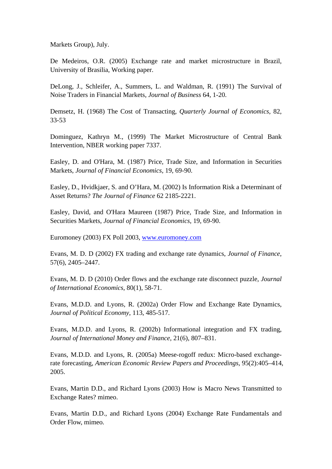Markets Group), July.

De Medeiros, O.R. (2005) Exchange rate and market microstructure in Brazil, University of Brasilia, Working paper.

DeLong, J., Schleifer, A., Summers, L. and Waldman, R. (1991) The Survival of Noise Traders in Financial Markets, *Journal of Business* 64, 1-20.

Demsetz, H. (1968) The Cost of Transacting, *Quarterly Journal of Economics*, 82, 33-53

Dominguez, Kathryn M., (1999) The Market Microstructure of Central Bank Intervention, NBER working paper 7337.

Easley, D. and O'Hara, M. (1987) Price, Trade Size, and Information in Securities Markets, *Journal of Financial Economics*, 19, 69-90.

Easley, D., Hvidkjaer, S. and O'Hara, M. (2002) Is Information Risk a Determinant of Asset Returns? *The Journal of Finance* 62 2185-2221.

Easley, David, and O'Hara Maureen (1987) Price, Trade Size, and Information in Securities Markets, *Journal of Financial Economics*, 19, 69-90.

Euromoney (2003) FX Poll 2003, [www.euromoney.com](http://www.euromoney.com/)

Evans, M. D. D (2002) FX trading and exchange rate dynamics, *Journal of Finance*, 57(6), 2405–2447.

Evans, M. D. D (2010) Order flows and the exchange rate disconnect puzzle, *Journal of International Economics*, 80(1), 58-71.

Evans, M.D.D. and Lyons, R. (2002a) Order Flow and Exchange Rate Dynamics, *Journal of Political Economy*, 113, 485-517.

Evans, M.D.D. and Lyons, R. (2002b) Informational integration and FX trading, *Journal of International Money and Finance*, 21(6), 807–831.

Evans, M.D.D. and Lyons, R. (2005a) Meese-rogoff redux: Micro-based exchangerate forecasting, *American Economic Review Papers and Proceedings*, 95(2):405–414, 2005.

Evans, Martin D.D., and Richard Lyons (2003) How is Macro News Transmitted to Exchange Rates? mimeo.

Evans, Martin D.D., and Richard Lyons (2004) Exchange Rate Fundamentals and Order Flow, mimeo.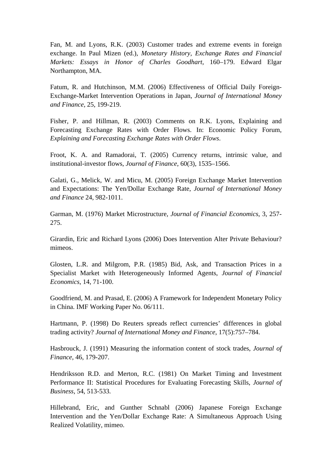Fan, M. and Lyons, R.K. (2003) Customer trades and extreme events in foreign exchange. In Paul Mizen (ed.), *Monetary History, Exchange Rates and Financial Markets: Essays in Honor of Charles Goodhart*, 160–179. Edward Elgar Northampton, MA.

Fatum, R. and Hutchinson, M.M. (2006) Effectiveness of Official Daily Foreign-Exchange-Market Intervention Operations in Japan, *Journal of International Money and Finance*, 25, 199-219.

Fisher, P. and Hillman, R. (2003) Comments on R.K. Lyons, Explaining and Forecasting Exchange Rates with Order Flows. In: Economic Policy Forum, *Explaining and Forecasting Exchange Rates with Order Flows*.

Froot, K. A. and Ramadorai, T. (2005) Currency returns, intrinsic value, and institutional-investor flows, *Journal of Finance*, 60(3), 1535–1566.

Galati, G., Melick, W. and Micu, M. (2005) Foreign Exchange Market Intervention and Expectations: The Yen/Dollar Exchange Rate, *Journal of International Money and Finance* 24, 982-1011.

Garman, M. (1976) Market Microstructure, *Journal of Financial Economics*, 3, 257- 275.

Girardin, Eric and Richard Lyons (2006) Does Intervention Alter Private Behaviour? mimeos.

Glosten, L.R. and Milgrom, P.R. (1985) Bid, Ask, and Transaction Prices in a Specialist Market with Heterogeneously Informed Agents, *Journal of Financial Economics*, 14, 71-100.

Goodfriend, M. and Prasad, E. (2006) A Framework for Independent Monetary Policy in China. IMF Working Paper No. 06/111.

Hartmann, P. (1998) Do Reuters spreads reflect currencies' differences in global trading activity? *Journal of International Money and Finance*, 17(5):757–784.

Hasbrouck, J. (1991) Measuring the information content of stock trades, *Journal of Finance*, 46, 179-207.

Hendriksson R.D. and Merton, R.C. (1981) On Market Timing and Investment Performance II: Statistical Procedures for Evaluating Forecasting Skills, *Journal of Business*, 54, 513-533.

Hillebrand, Eric, and Gunther Schnabl (2006) Japanese Foreign Exchange Intervention and the Yen/Dollar Exchange Rate: A Simultaneous Approach Using Realized Volatility, mimeo.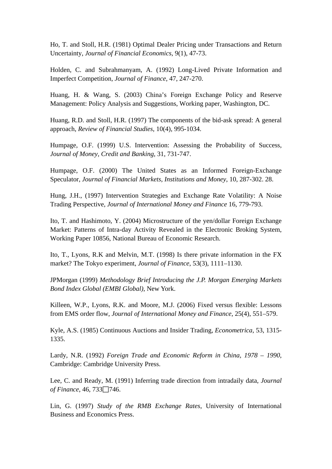Ho, T. and Stoll, H.R. (1981) Optimal Dealer Pricing under Transactions and Return Uncertainty, *Journal of Financial Economics*, 9(1), 47-73.

Holden, C. and Subrahmanyam, A. (1992) Long-Lived Private Information and Imperfect Competition, *Journal of Finance*, 47, 247-270.

Huang, H. & Wang, S. (2003) China's Foreign Exchange Policy and Reserve Management: Policy Analysis and Suggestions, Working paper, Washington, DC.

Huang, R.D. and Stoll, H.R. (1997) The components of the bid-ask spread: A general approach, *Review of Financial Studies*, 10(4), 995-1034.

Humpage, O.F. (1999) U.S. Intervention: Assessing the Probability of Success, *Journal of Money, Credit and Banking*, 31, 731-747.

Humpage, O.F. (2000) The United States as an Informed Foreign-Exchange Speculator, *Journal of Financial Markets, Institutions and Money*, 10, 287-302. 28.

Hung, J.H., (1997) Intervention Strategies and Exchange Rate Volatility: A Noise Trading Perspective, *Journal of International Money and Finance* 16, 779-793.

Ito, T. and Hashimoto, Y. (2004) Microstructure of the yen/dollar Foreign Exchange Market: Patterns of Intra-day Activity Revealed in the Electronic Broking System, Working Paper 10856, National Bureau of Economic Research.

Ito, T., Lyons, R.K and Melvin, M.T. (1998) Is there private information in the FX market? The Tokyo experiment, *Journal of Finance*, 53(3), 1111–1130.

JPMorgan (1999) *Methodology Brief Introducing the J.P. Morgan Emerging Markets Bond Index Global (EMBI Global)*, New York.

Killeen, W.P., Lyons, R.K. and Moore, M.J. (2006) Fixed versus flexible: Lessons from EMS order flow, *Journal of International Money and Finance*, 25(4), 551–579.

Kyle, A.S. (1985) Continuous Auctions and Insider Trading, *Econometrica*, 53, 1315- 1335.

Lardy, N.R. (1992) *Foreign Trade and Economic Reform in China, 1978 – 1990*, Cambridge: Cambridge University Press.

Lee, C. and Ready, M. (1991) Inferring trade direction from intradaily data, *Journal of Finance*, 46, 733 $\Box$ 746.

Lin, G. (1997) *Study of the RMB Exchange Rates*, University of International Business and Economics Press.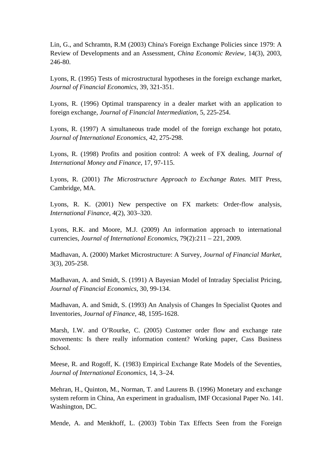Lin, G., and Schramtn, R.M (2003) China's Foreign Exchange Policies since 1979: A Review of Developments and an Assessment, *China Economic Review,* 14(3), 2003, 246-80.

Lyons, R. (1995) Tests of microstructural hypotheses in the foreign exchange market, *Journal of Financial Economics*, 39, 321-351.

Lyons, R. (1996) Optimal transparency in a dealer market with an application to foreign exchange, *Journal of Financial Intermediation*, 5, 225-254.

Lyons, R. (1997) A simultaneous trade model of the foreign exchange hot potato, *Journal of International Economics*, 42, 275-298.

Lyons, R. (1998) Profits and position control: A week of FX dealing, *Journal of International Money and Finance*, 17, 97-115.

Lyons, R. (2001) *The Microstructure Approach to Exchange Rates.* MIT Press, Cambridge, MA.

Lyons, R. K. (2001) New perspective on FX markets: Order-flow analysis, *International Finance*, 4(2), 303–320.

Lyons, R.K. and Moore, M.J. (2009) An information approach to international currencies, *Journal of International Economics*, 79(2):211 – 221, 2009.

Madhavan, A. (2000) Market Microstructure: A Survey, *Journal of Financial Market*, 3(3), 205-258.

Madhavan, A. and Smidt, S. (1991) A Bayesian Model of Intraday Specialist Pricing, *Journal of Financial Economics*, 30, 99-134.

Madhavan, A. and Smidt, S. (1993) An Analysis of Changes In Specialist Quotes and Inventories, *Journal of Finance*, 48, 1595-1628.

Marsh, I.W. and O'Rourke, C. (2005) Customer order flow and exchange rate movements: Is there really information content? Working paper, Cass Business School.

Meese, R. and Rogoff, K. (1983) Empirical Exchange Rate Models of the Seventies, *Journal of International Economics*, 14, 3–24.

Mehran, H., Quinton, M., Norman, T. and Laurens B. (1996) Monetary and exchange system reform in China, An experiment in gradualism, IMF Occasional Paper No. 141. Washington, DC.

Mende, A. and Menkhoff, L. (2003) Tobin Tax Effects Seen from the Foreign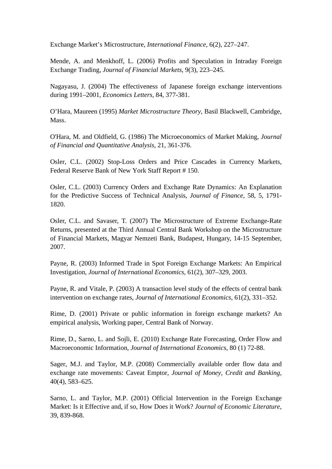Exchange Market's Microstructure, *International Finance*, 6(2), 227–247.

Mende, A. and Menkhoff, L. (2006) Profits and Speculation in Intraday Foreign Exchange Trading, *Journal of Financial Markets*, 9(3), 223–245.

Nagayasu, J. (2004) The effectiveness of Japanese foreign exchange interventions during 1991–2001, *Economics Letters*, 84, 377-381.

O'Hara, Maureen (1995) *Market Microstructure Theory*, Basil Blackwell, Cambridge, Mass.

O'Hara, M. and Oldfield, G. (1986) The Microeconomics of Market Making, *Journal of Financial and Quantitative Analysis*, 21, 361-376.

Osler, C.L. (2002) Stop-Loss Orders and Price Cascades in Currency Markets, Federal Reserve Bank of New York Staff Report # 150.

Osler, C.L. (2003) Currency Orders and Exchange Rate Dynamics: An Explanation for the Predictive Success of Technical Analysis, *Journal of Finance*, 58, 5, 1791- 1820.

Osler, C.L. and Savaser, T. (2007) The Microstructure of Extreme Exchange-Rate Returns, presented at the Third Annual Central Bank Workshop on the Microstructure of Financial Markets, Magyar Nemzeti Bank, Budapest, Hungary, 14-15 September, 2007.

Payne, R. (2003) Informed Trade in Spot Foreign Exchange Markets: An Empirical Investigation, *Journal of International Economics*, 61(2), 307–329, 2003.

Payne, R. and Vitale, P. (2003) A transaction level study of the effects of central bank intervention on exchange rates, *Journal of International Economics*, 61(2), 331–352.

Rime, D. (2001) Private or public information in foreign exchange markets? An empirical analysis, Working paper, Central Bank of Norway.

Rime, D., Sarno, L. and Sojli, E. (2010) Exchange Rate Forecasting, Order Flow and Macroeconomic Information, *Journal of International Economics*, 80 (1) 72-88.

Sager, M.J. and Taylor, M.P. (2008) Commercially available order flow data and exchange rate movements: Caveat Emptor, *Journal of Money, Credit and Banking*, 40(4), 583–625.

Sarno, L. and Taylor, M.P. (2001) Official Intervention in the Foreign Exchange Market: Is it Effective and, if so, How Does it Work? *Journal of Economic Literature*, 39, 839-868.